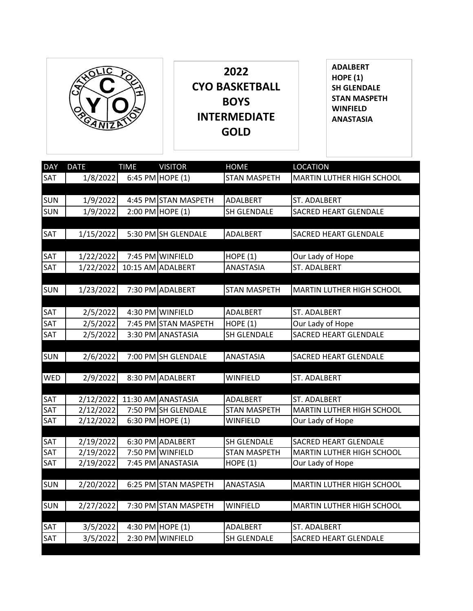

**2022 CYO BASKETBALL BOYS INTERMEDIATE GOLD**

**ADALBERT HOPE (1) SH GLENDALE STAN MASPETH WINFIELD ANASTASIA**

| <b>DAY</b> | <b>DATE</b> | <b>TIME</b> | <b>VISITOR</b>       | <b>HOME</b>         | <b>LOCATION</b>                  |
|------------|-------------|-------------|----------------------|---------------------|----------------------------------|
| <b>SAT</b> | 1/8/2022    |             | 6:45 PM HOPE (1)     | <b>STAN MASPETH</b> | MARTIN LUTHER HIGH SCHOOL        |
|            |             |             |                      |                     |                                  |
| <b>SUN</b> | 1/9/2022    |             | 4:45 PM STAN MASPETH | ADALBERT            | ST. ADALBERT                     |
| <b>SUN</b> | 1/9/2022    |             | 2:00 PM HOPE (1)     | <b>SH GLENDALE</b>  | <b>SACRED HEART GLENDALE</b>     |
|            |             |             |                      |                     |                                  |
| <b>SAT</b> | 1/15/2022   |             | 5:30 PM SH GLENDALE  | ADALBERT            | SACRED HEART GLENDALE            |
|            |             |             |                      |                     |                                  |
| <b>SAT</b> | 1/22/2022   |             | 7:45 PM WINFIELD     | HOPE $(1)$          | Our Lady of Hope                 |
| SAT        | 1/22/2022   |             | 10:15 AM ADALBERT    | ANASTASIA           | ST. ADALBERT                     |
|            |             |             |                      |                     |                                  |
| <b>SUN</b> | 1/23/2022   |             | 7:30 PM ADALBERT     | <b>STAN MASPETH</b> | MARTIN LUTHER HIGH SCHOOL        |
| SAT        | 2/5/2022    |             | 4:30 PM WINFIELD     | ADALBERT            | ST. ADALBERT                     |
| SAT        |             |             | 7:45 PM STAN MASPETH | HOPE (1)            |                                  |
| SAT        | 2/5/2022    |             |                      |                     | Our Lady of Hope                 |
|            | 2/5/2022    |             | 3:30 PM ANASTASIA    | <b>SH GLENDALE</b>  | SACRED HEART GLENDALE            |
| <b>SUN</b> | 2/6/2022    |             | 7:00 PM SH GLENDALE  | <b>ANASTASIA</b>    | <b>SACRED HEART GLENDALE</b>     |
|            |             |             |                      |                     |                                  |
| <b>WED</b> | 2/9/2022    |             | 8:30 PM ADALBERT     | <b>WINFIELD</b>     | ST. ADALBERT                     |
|            |             |             |                      |                     |                                  |
| SAT        | 2/12/2022   |             | 11:30 AM ANASTASIA   | ADALBERT            | <b>ST. ADALBERT</b>              |
| SAT        | 2/12/2022   |             | 7:50 PM SH GLENDALE  | <b>STAN MASPETH</b> | MARTIN LUTHER HIGH SCHOOL        |
| <b>SAT</b> | 2/12/2022   | 6:30 PM     | HOPE(1)              | WINFIELD            | Our Lady of Hope                 |
|            |             |             |                      |                     |                                  |
| <b>SAT</b> | 2/19/2022   |             | 6:30 PM ADALBERT     | <b>SH GLENDALE</b>  | <b>SACRED HEART GLENDALE</b>     |
| SAT        | 2/19/2022   |             | 7:50 PM WINFIELD     | <b>STAN MASPETH</b> | <b>MARTIN LUTHER HIGH SCHOOL</b> |
| SAT        | 2/19/2022   |             | 7:45 PM ANASTASIA    | HOPE(1)             | Our Lady of Hope                 |
|            |             |             |                      |                     |                                  |
| <b>SUN</b> | 2/20/2022   |             | 6:25 PM STAN MASPETH | ANASTASIA           | <b>MARTIN LUTHER HIGH SCHOOL</b> |
|            |             |             |                      |                     |                                  |
| <b>SUN</b> | 2/27/2022   |             | 7:30 PM STAN MASPETH | <b>WINFIELD</b>     | MARTIN LUTHER HIGH SCHOOL        |
| <b>SAT</b> | 3/5/2022    |             | 4:30 PM HOPE $(1)$   | ADALBERT            | ST. ADALBERT                     |
| <b>SAT</b> | 3/5/2022    |             | 2:30 PM WINFIELD     | <b>SH GLENDALE</b>  | <b>SACRED HEART GLENDALE</b>     |
|            |             |             |                      |                     |                                  |